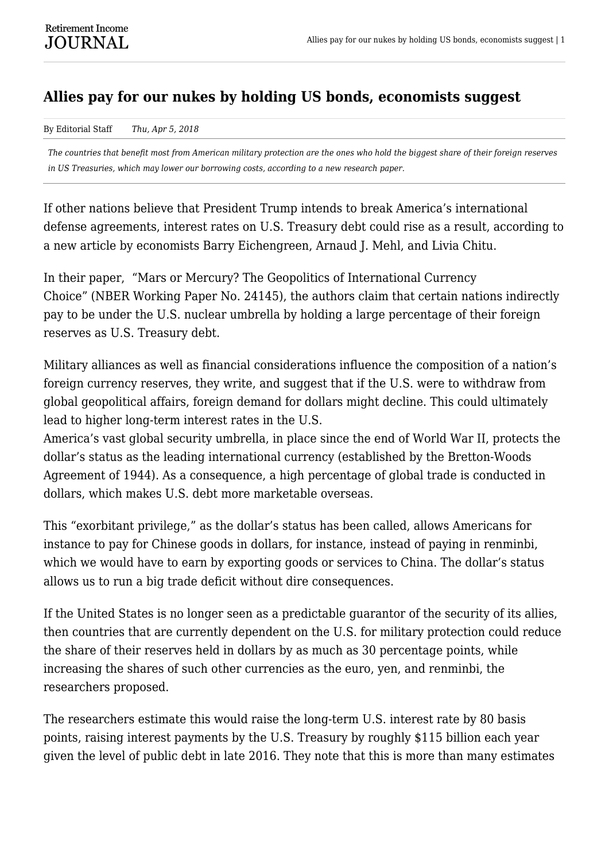## **Allies pay for our nukes by holding US bonds, economists suggest**

## By Editorial Staff *Thu, Apr 5, 2018*

*The countries that benefit most from American military protection are the ones who hold the biggest share of their foreign reserves in US Treasuries, which may lower our borrowing costs, according to a new research paper.*

If other nations believe that President Trump intends to break America's international defense agreements, interest rates on U.S. Treasury debt could rise as a result, according to a new article by economists Barry Eichengreen, Arnaud J. Mehl, and Livia Chitu.

In their paper, "Mars or Mercury? The Geopolitics of International Currency Choice" (NBER Working Paper No. 24145), the authors claim that certain nations indirectly pay to be under the U.S. nuclear umbrella by holding a large percentage of their foreign reserves as U.S. Treasury debt.

Military alliances as well as financial considerations influence the composition of a nation's foreign currency reserves, they write, and suggest that if the U.S. were to withdraw from global geopolitical affairs, foreign demand for dollars might decline. This could ultimately lead to higher long-term interest rates in the U.S.

America's vast global security umbrella, in place since the end of World War II, protects the dollar's status as the leading international currency (established by the Bretton-Woods Agreement of 1944). As a consequence, a high percentage of global trade is conducted in dollars, which makes U.S. debt more marketable overseas.

This "exorbitant privilege," as the dollar's status has been called, allows Americans for instance to pay for Chinese goods in dollars, for instance, instead of paying in renminbi, which we would have to earn by exporting goods or services to China. The dollar's status allows us to run a big trade deficit without dire consequences.

If the United States is no longer seen as a predictable guarantor of the security of its allies, then countries that are currently dependent on the U.S. for military protection could reduce the share of their reserves held in dollars by as much as 30 percentage points, while increasing the shares of such other currencies as the euro, yen, and renminbi, the researchers proposed.

The researchers estimate this would raise the long-term U.S. interest rate by 80 basis points, raising interest payments by the U.S. Treasury by roughly \$115 billion each year given the level of public debt in late 2016. They note that this is more than many estimates